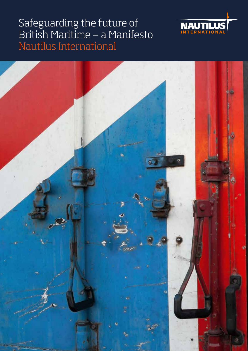

# Safeguarding the future of British Maritime ‒ a Manifesto Nautilus International

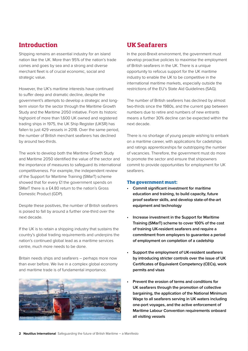# **Introduction**

Shipping remains an essential industry for an island nation like the UK. More than 95% of the nation's trade comes and goes by sea and a strong and diverse merchant fleet is of crucial economic, social and strategic value.

However, the UK's maritime interests have continued to suffer deep and dramatic decline, despite the government's attempts to develop a strategic and longterm vision for the sector through the Maritime Growth Study and the Maritime 2050 initiative. From its historic highpoint of more than 1,600 UK owned and registered trading ships in 1975, the UK Ship Register (UKSR) has fallen to just 429 vessels in 2018. Over the same period, the number of British merchant seafarers has declined by around two-thirds.

The work to develop both the Maritime Growth Study and Maritime 2050 identified the value of the sector and the importance of measures to safeguard its international competitiveness. For example, the independent review of the Support for Maritime Training (SMarT) scheme showed that for every £1 the government spends on SMarT there is a £4.80 return to the nation's Gross Domestic Product (GDP).

Despite these positives, the number of British seafarers is poised to fall by around a further one-third over the next decade.

If the UK is to retain a shipping industry that sustains the country's global trading requirements and underpins the nation's continued global lead as a maritime services centre, much more needs to be done.

Britain needs ships and seafarers – perhaps more now than ever before. We live in a complex global economy and maritime trade is of fundamental importance.



# **UK Seafarers**

In the post-Brexit environment, the government must develop proactive policies to maximise the employment of British seafarers in the UK. There is a unique opportunity to refocus support for the UK maritime industry to enable the UK to be competitive in the international maritime markets, especially outside the restrictions of the EU's State Aid Guidelines (SAG).

The number of British seafarers has declined by almost two-thirds since the 1980s, and the current gap between numbers due to retire and numbers of new entrants means a further 30% decline can be expected within the next decade.

There is no shortage of young people wishing to embark on a maritime career, with applications for cadetships and ratings apprenticeships far outstripping the number of vacancies. Therefore, the government must do more to promote the sector and ensure that shipowners commit to provide opportunities for employment for UK seafarers.

#### **The government must:**

- **• Commit significant investment for maritime education and training, to build capacity, future proof seafarer skills, and develop state-of-the-art equipment and technology**
- **• Increase investment in the Support for Maritime Training (SMarT) scheme to cover 100% of the cost of training UK-resident seafarers and require a commitment from employers to guarantee a period of employment on completion of a cadetship**
- **• Support the employment of UK-resident seafarers by introducing stricter controls over the issue of UK Certificates of Equivalent Competency (CECs), work permits and visas**
- **• Prevent the erosion of terms and conditions for UK seafarers through the promotion of collective bargaining, the application of the National Minimum Wage to all seafarers serving in UK waters including one-port voyages, and the active enforcement of Maritime Labour Convention requirements onboard all visiting vessels**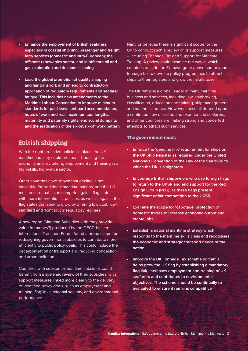- **• Enhance the employment of British seafarers, especially in coastal shipping; passenger and freight ferry services (domestic and intra-European); the offshore renewables sector; and in offshore oil and gas exploration and decommissioning**
- **• Lead the global promotion of quality shipping and fair transport; and an end to contradictory application of regulatory requirements and seafarer fatigue. This includes new amendments to the Maritime Labour Convention to improve minimum standards for paid leave, onboard accommodation, hours of work and rest, maximum tour lengths, maternity and paternity rights, end social dumping, and the eradication of the six-on/six-off work pattern**

### **British shipping**

With the right proactive policies in place, the UK maritime industry could prosper – boosting the economy and revitalising employment and training in a high-skills, high-value sector.

Other countries have shown that decline is not inevitable for traditional maritime nations, and the UK must ensure that it can compete against flag states with more interventionist policies, as well as against the flag states that seek to grow by offering low-cost, lowstandard and 'light touch' regulatory regimes.

A new report (Maritime Subsidies – do they provide value for money?) produced by the OECD-backed International Transport Forum found a broad scope for redesigning government subsidies to contribute more efficiently to public policy goals. This could include the decarbonisation of transport and reducing congestion and urban pollution.

Countries with substantial maritime subsidies could benefit from a systemic review of their subsidies, with support measures linked more clearly to the delivery of identified policy goals, such as employment and training, flag links, national security, and environmental performance.

Nautilus believes there is significant scope for the UK to conduct such a review of its support measures – including Tonnage Tax and Support for Maritime Training. A review could examine the way in which countries outside the EU have gone above and beyond tonnage tax to develop policy programmes to attract ships to their registers and grow their skills base.

The UK remains a global leader in many maritime business and services, including law, shipbroking, classification, education and training, ship management, and marine insurance. However, these all depend upon a continued flow of skilled and experienced seafarers, and other countries are making strong and concerted attempts to attract such services.

#### **The government must:**

- **Enforce the 'genuine link' requirement for ships on the UK Ship Register as required under the United Nationals Convention of the Law of the Sea 1986 to which the UK is a signatory**
- **Encourage British shipowners who use foreign flags to return to the UKSR and end support for the Red Ensign Group (REG), as these flags present significant unfair competition to the UKSR**
- **• Examine the scope for 'cabotage' protection of domestic trades to increase economic output and create jobs**
- **Establish a national maritime strategy which responds to the maritime skills crisis and recognises the economic and strategic transport needs of the nation**
- **• Improve the UK Tonnage Tax scheme so that it helps grow the UK flag by establishing a mandatory flag link, increases employment and training of UK seafarers and contributes to environmental objectives. The scheme should be continually reevaluated to ensure it remains competitive**